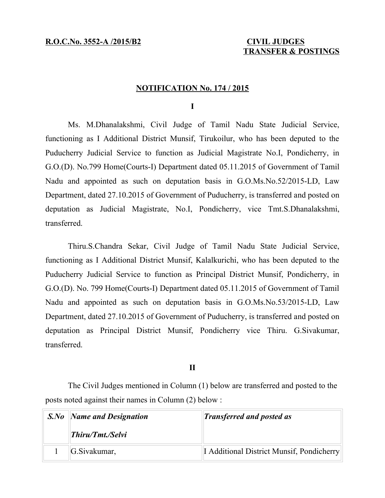# **TRANSFER & POSTINGS**

### **NOTIFICATION No. 174 / 2015**

**I**

Ms. M.Dhanalakshmi, Civil Judge of Tamil Nadu State Judicial Service, functioning as I Additional District Munsif, Tirukoilur, who has been deputed to the Puducherry Judicial Service to function as Judicial Magistrate No.I, Pondicherry, in G.O.(D). No.799 Home(Courts-I) Department dated 05.11.2015 of Government of Tamil Nadu and appointed as such on deputation basis in G.O.Ms.No.52/2015-LD, Law Department, dated 27.10.2015 of Government of Puducherry, is transferred and posted on deputation as Judicial Magistrate, No.I, Pondicherry, vice Tmt.S.Dhanalakshmi, transferred.

Thiru.S.Chandra Sekar, Civil Judge of Tamil Nadu State Judicial Service, functioning as I Additional District Munsif, Kalalkurichi, who has been deputed to the Puducherry Judicial Service to function as Principal District Munsif, Pondicherry, in G.O.(D). No. 799 Home(Courts-I) Department dated 05.11.2015 of Government of Tamil Nadu and appointed as such on deputation basis in G.O.Ms.No.53/2015-LD, Law Department, dated 27.10.2015 of Government of Puducherry, is transferred and posted on deputation as Principal District Munsif, Pondicherry vice Thiru. G.Sivakumar, transferred.

## **II**

The Civil Judges mentioned in Column (1) below are transferred and posted to the posts noted against their names in Column (2) below :

| <b>S.No</b> Name and Designation | <b>Transferred and posted as</b>                 |
|----------------------------------|--------------------------------------------------|
| Thiru/Tmt./Selvi                 |                                                  |
| G.Sivakumar,                     | <b>I</b> Additional District Munsif, Pondicherry |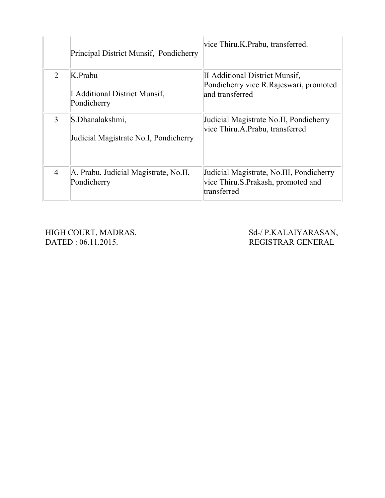|                | Principal District Munsif, Pondicherry                   | vice Thiru.K.Prabu, transferred.                                                              |
|----------------|----------------------------------------------------------|-----------------------------------------------------------------------------------------------|
| 2              | K Prabu<br>I Additional District Munsif,<br>Pondicherry  | II Additional District Munsif,<br>Pondicherry vice R. Rajeswari, promoted<br>and transferred  |
| 3              | S.Dhanalakshmi,<br>Judicial Magistrate No.I, Pondicherry | Judicial Magistrate No.II, Pondicherry<br>vice Thiru.A.Prabu, transferred                     |
| $\overline{4}$ | A. Prabu, Judicial Magistrate, No.II,<br>Pondicherry     | Judicial Magistrate, No.III, Pondicherry<br>vice Thiru.S.Prakash, promoted and<br>transferred |

HIGH COURT, MADRAS. Sd-/ P.KALAIYARASAN, DATED : 06.11.2015. REGISTRAR GENERAL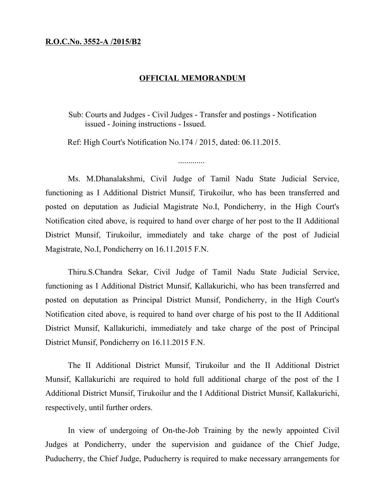## **R.O.C.No. 3552-A /2015/B2**

## **OFFICIAL MEMORANDUM**

 Sub: Courts and Judges - Civil Judges - Transfer and postings - Notification issued - Joining instructions - Issued.

Ref: High Court's Notification No.174 / 2015, dated: 06.11.2015.

Ms. M.Dhanalakshmi, Civil Judge of Tamil Nadu State Judicial Service, functioning as I Additional District Munsif, Tirukoilur, who has been transferred and posted on deputation as Judicial Magistrate No.I, Pondicherry, in the High Court's Notification cited above, is required to hand over charge of her post to the II Additional District Munsif, Tirukoilur, immediately and take charge of the post of Judicial Magistrate, No.I, Pondicherry on 16.11.2015 F.N.

Thiru.S.Chandra Sekar, Civil Judge of Tamil Nadu State Judicial Service, functioning as I Additional District Munsif, Kallakurichi, who has been transferred and posted on deputation as Principal District Munsif, Pondicherry, in the High Court's Notification cited above, is required to hand over charge of his post to the II Additional District Munsif, Kallakurichi, immediately and take charge of the post of Principal District Munsif, Pondicherry on 16.11.2015 F.N.

The II Additional District Munsif, Tirukoilur and the II Additional District Munsif, Kallakurichi are required to hold full additional charge of the post of the I Additional District Munsif, Tirukoilur and the I Additional District Munsif, Kallakurichi, respectively, until further orders.

In view of undergoing of On-the-Job Training by the newly appointed Civil Judges at Pondicherry, under the supervision and guidance of the Chief Judge, Puducherry, the Chief Judge, Puducherry is required to make necessary arrangements for